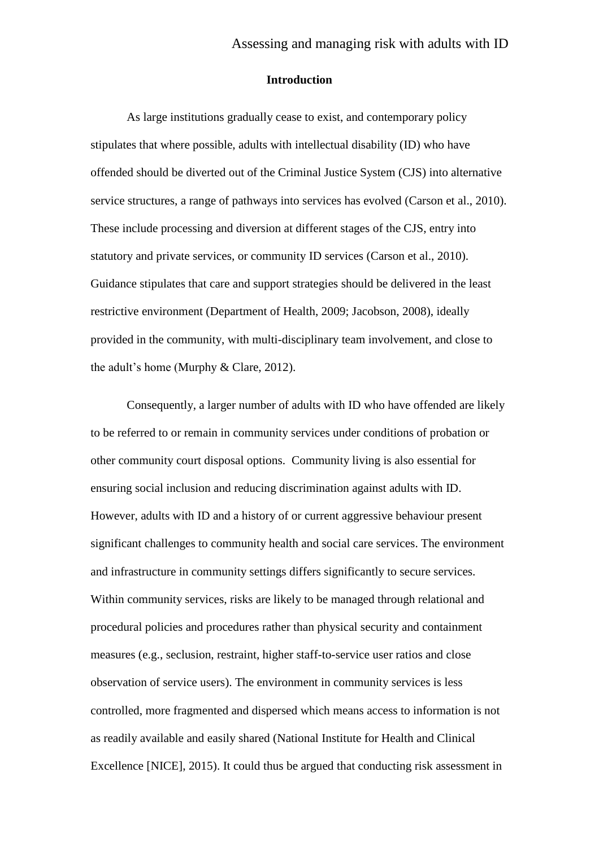## **Introduction**

As large institutions gradually cease to exist, and contemporary policy stipulates that where possible, adults with intellectual disability (ID) who have offended should be diverted out of the Criminal Justice System (CJS) into alternative service structures, a range of pathways into services has evolved (Carson et al., 2010). These include processing and diversion at different stages of the CJS, entry into statutory and private services, or community ID services (Carson et al., 2010). Guidance stipulates that care and support strategies should be delivered in the least restrictive environment (Department of Health, 2009; Jacobson, 2008), ideally provided in the community, with multi-disciplinary team involvement, and close to the adult's home (Murphy & Clare, 2012).

Consequently, a larger number of adults with ID who have offended are likely to be referred to or remain in community services under conditions of probation or other community court disposal options. Community living is also essential for ensuring social inclusion and reducing discrimination against adults with ID. However, adults with ID and a history of or current aggressive behaviour present significant challenges to community health and social care services. The environment and infrastructure in community settings differs significantly to secure services. Within community services, risks are likely to be managed through relational and procedural policies and procedures rather than physical security and containment measures (e.g., seclusion, restraint, higher staff-to-service user ratios and close observation of service users). The environment in community services is less controlled, more fragmented and dispersed which means access to information is not as readily available and easily shared (National Institute for Health and Clinical Excellence [NICE], 2015). It could thus be argued that conducting risk assessment in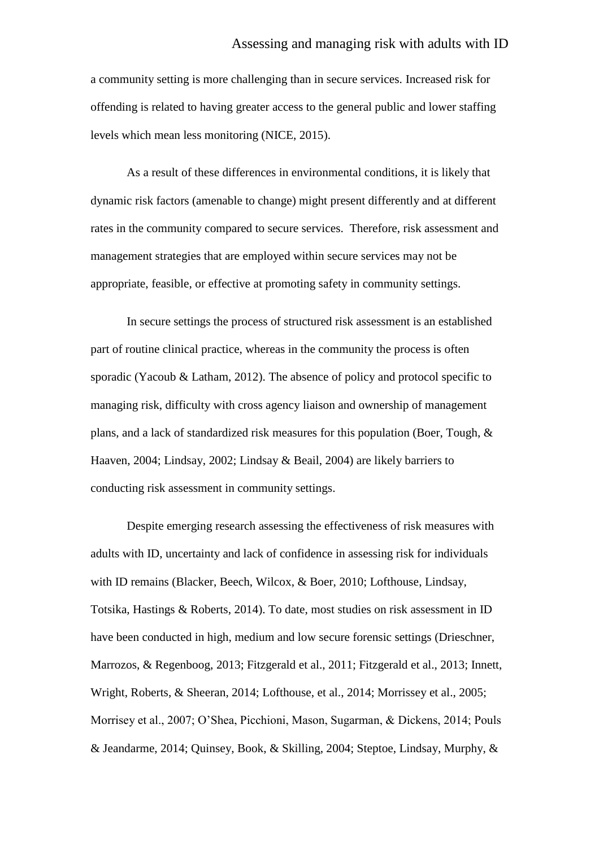a community setting is more challenging than in secure services. Increased risk for offending is related to having greater access to the general public and lower staffing levels which mean less monitoring (NICE, 2015).

As a result of these differences in environmental conditions, it is likely that dynamic risk factors (amenable to change) might present differently and at different rates in the community compared to secure services. Therefore, risk assessment and management strategies that are employed within secure services may not be appropriate, feasible, or effective at promoting safety in community settings.

In secure settings the process of structured risk assessment is an established part of routine clinical practice, whereas in the community the process is often sporadic (Yacoub & Latham, 2012). The absence of policy and protocol specific to managing risk, difficulty with cross agency liaison and ownership of management plans, and a lack of standardized risk measures for this population (Boer, Tough, & Haaven, 2004; Lindsay, 2002; Lindsay & Beail, 2004) are likely barriers to conducting risk assessment in community settings.

Despite emerging research assessing the effectiveness of risk measures with adults with ID, uncertainty and lack of confidence in assessing risk for individuals with ID remains (Blacker, Beech, Wilcox, & Boer, 2010; Lofthouse, Lindsay, Totsika, Hastings & Roberts, 2014). To date, most studies on risk assessment in ID have been conducted in high, medium and low secure forensic settings (Drieschner, Marrozos, & Regenboog, 2013; Fitzgerald et al., 2011; Fitzgerald et al., 2013; Innett, Wright, Roberts, & Sheeran, 2014; Lofthouse, et al., 2014; Morrissey et al., 2005; Morrisey et al., 2007; O'Shea, Picchioni, Mason, Sugarman, & Dickens, 2014; Pouls & Jeandarme, 2014; Quinsey, Book, & Skilling, 2004; Steptoe, Lindsay, Murphy, &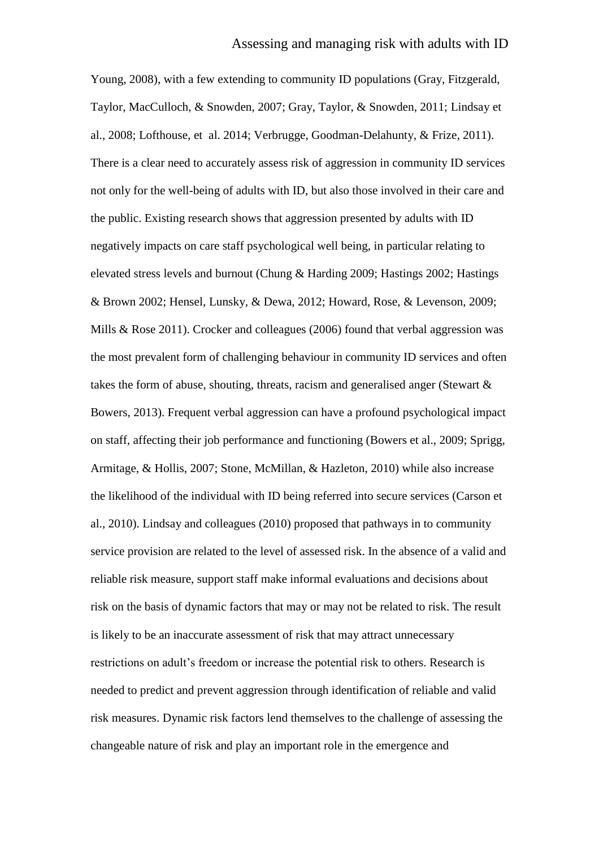Young, 2008), with a few extending to community ID populations (Gray, Fitzgerald, Taylor, MacCulloch, & Snowden, 2007; Gray, Taylor, & Snowden, 2011; Lindsay et al., 2008; Lofthouse, et al. 2014; Verbrugge, Goodman-Delahunty, & Frize, 2011). There is a clear need to accurately assess risk of aggression in community ID services not only for the well-being of adults with ID, but also those involved in their care and the public. Existing research shows that aggression presented by adults with ID negatively impacts on care staff psychological well being, in particular relating to elevated stress levels and burnout (Chung & Harding 2009; Hastings 2002; Hastings & Brown 2002; Hensel, Lunsky, & Dewa, 2012; Howard, Rose, & Levenson, 2009; Mills & Rose 2011). Crocker and colleagues (2006) found that verbal aggression was the most prevalent form of challenging behaviour in community ID services and often takes the form of abuse, shouting, threats, racism and generalised anger (Stewart & Bowers, 2013). Frequent verbal aggression can have a profound psychological impact on staff, affecting their job performance and functioning (Bowers et al., 2009; Sprigg, Armitage, & Hollis, 2007; Stone, McMillan, & Hazleton, 2010) while also increase the likelihood of the individual with ID being referred into secure services (Carson et al., 2010). Lindsay and colleagues (2010) proposed that pathways in to community service provision are related to the level of assessed risk. In the absence of a valid and reliable risk measure, support staff make informal evaluations and decisions about risk on the basis of dynamic factors that may or may not be related to risk. The result is likely to be an inaccurate assessment of risk that may attract unnecessary restrictions on adult's freedom or increase the potential risk to others. Research is needed to predict and prevent aggression through identification of reliable and valid risk measures. Dynamic risk factors lend themselves to the challenge of assessing the changeable nature of risk and play an important role in the emergence and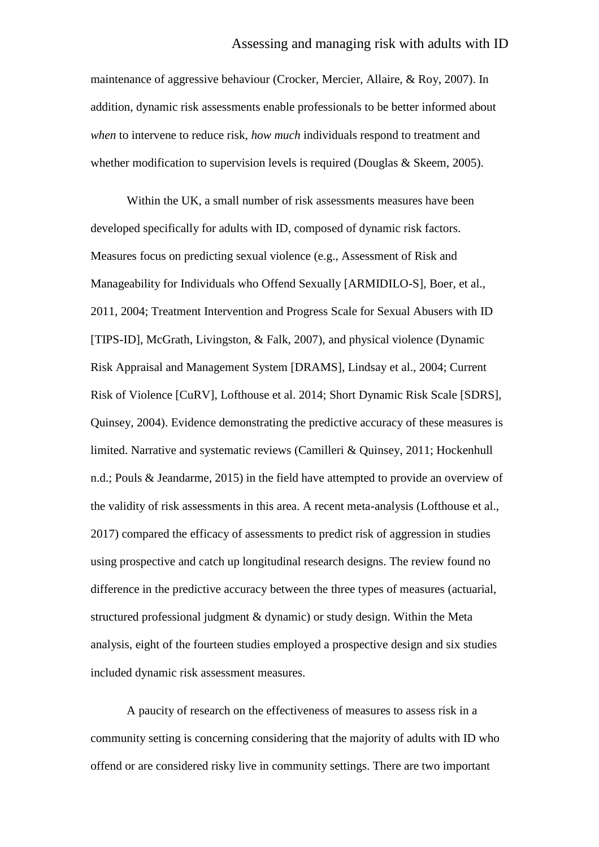maintenance of aggressive behaviour (Crocker, Mercier, Allaire, & Roy, 2007). In addition, dynamic risk assessments enable professionals to be better informed about *when* to intervene to reduce risk, *how much* individuals respond to treatment and whether modification to supervision levels is required (Douglas & Skeem, 2005).

Within the UK, a small number of risk assessments measures have been developed specifically for adults with ID, composed of dynamic risk factors. Measures focus on predicting sexual violence (e.g., Assessment of Risk and Manageability for Individuals who Offend Sexually [ARMIDILO-S], Boer, et al., 2011, 2004; Treatment Intervention and Progress Scale for Sexual Abusers with ID [TIPS-ID], McGrath, Livingston, & Falk, 2007), and physical violence (Dynamic Risk Appraisal and Management System [DRAMS], Lindsay et al., 2004; Current Risk of Violence [CuRV], Lofthouse et al. 2014; Short Dynamic Risk Scale [SDRS], Quinsey, 2004). Evidence demonstrating the predictive accuracy of these measures is limited. Narrative and systematic reviews (Camilleri & Quinsey, 2011; Hockenhull n.d.; Pouls & Jeandarme, 2015) in the field have attempted to provide an overview of the validity of risk assessments in this area. A recent meta-analysis (Lofthouse et al., 2017) compared the efficacy of assessments to predict risk of aggression in studies using prospective and catch up longitudinal research designs. The review found no difference in the predictive accuracy between the three types of measures (actuarial, structured professional judgment & dynamic) or study design. Within the Meta analysis, eight of the fourteen studies employed a prospective design and six studies included dynamic risk assessment measures.

A paucity of research on the effectiveness of measures to assess risk in a community setting is concerning considering that the majority of adults with ID who offend or are considered risky live in community settings. There are two important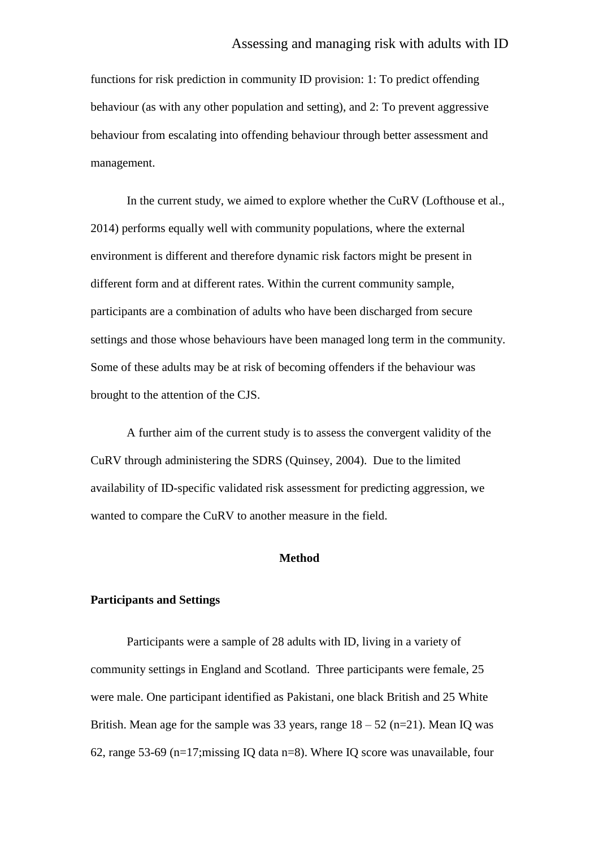## Assessing and managing risk with adults with ID

functions for risk prediction in community ID provision: 1: To predict offending behaviour (as with any other population and setting), and 2: To prevent aggressive behaviour from escalating into offending behaviour through better assessment and management.

In the current study, we aimed to explore whether the CuRV (Lofthouse et al., 2014) performs equally well with community populations, where the external environment is different and therefore dynamic risk factors might be present in different form and at different rates. Within the current community sample, participants are a combination of adults who have been discharged from secure settings and those whose behaviours have been managed long term in the community. Some of these adults may be at risk of becoming offenders if the behaviour was brought to the attention of the CJS.

A further aim of the current study is to assess the convergent validity of the CuRV through administering the SDRS (Quinsey, 2004). Due to the limited availability of ID-specific validated risk assessment for predicting aggression, we wanted to compare the CuRV to another measure in the field.

### **Method**

## **Participants and Settings**

Participants were a sample of 28 adults with ID, living in a variety of community settings in England and Scotland. Three participants were female, 25 were male. One participant identified as Pakistani, one black British and 25 White British. Mean age for the sample was 33 years, range  $18 - 52$  (n=21). Mean IQ was 62, range 53-69 (n=17;missing IQ data n=8). Where IQ score was unavailable, four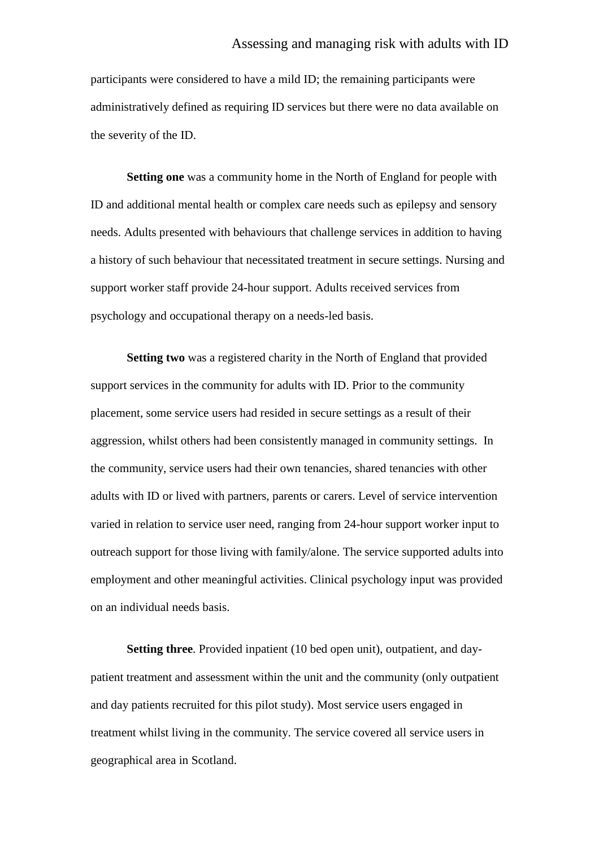participants were considered to have a mild ID; the remaining participants were administratively defined as requiring ID services but there were no data available on the severity of the ID.

**Setting one** was a community home in the North of England for people with ID and additional mental health or complex care needs such as epilepsy and sensory needs. Adults presented with behaviours that challenge services in addition to having a history of such behaviour that necessitated treatment in secure settings. Nursing and support worker staff provide 24-hour support. Adults received services from psychology and occupational therapy on a needs-led basis.

**Setting two** was a registered charity in the North of England that provided support services in the community for adults with ID. Prior to the community placement, some service users had resided in secure settings as a result of their aggression, whilst others had been consistently managed in community settings. In the community, service users had their own tenancies, shared tenancies with other adults with ID or lived with partners, parents or carers. Level of service intervention varied in relation to service user need, ranging from 24-hour support worker input to outreach support for those living with family/alone. The service supported adults into employment and other meaningful activities. Clinical psychology input was provided on an individual needs basis.

**Setting three**. Provided inpatient (10 bed open unit), outpatient, and daypatient treatment and assessment within the unit and the community (only outpatient and day patients recruited for this pilot study). Most service users engaged in treatment whilst living in the community. The service covered all service users in geographical area in Scotland.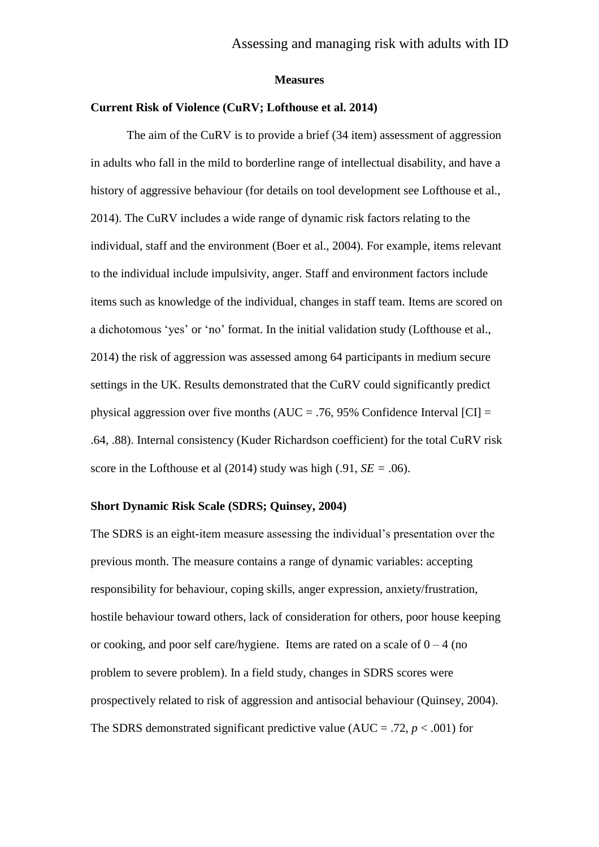#### **Measures**

### **Current Risk of Violence (CuRV; Lofthouse et al. 2014)**

The aim of the CuRV is to provide a brief (34 item) assessment of aggression in adults who fall in the mild to borderline range of intellectual disability, and have a history of aggressive behaviour (for details on tool development see Lofthouse et al., 2014). The CuRV includes a wide range of dynamic risk factors relating to the individual, staff and the environment (Boer et al., 2004). For example, items relevant to the individual include impulsivity, anger. Staff and environment factors include items such as knowledge of the individual, changes in staff team. Items are scored on a dichotomous 'yes' or 'no' format. In the initial validation study (Lofthouse et al., 2014) the risk of aggression was assessed among 64 participants in medium secure settings in the UK. Results demonstrated that the CuRV could significantly predict physical aggression over five months (AUC = .76, 95% Confidence Interval [CI] = .64, .88). Internal consistency (Kuder Richardson coefficient) for the total CuRV risk score in the Lofthouse et al  $(2014)$  study was high  $(.91, SE = .06)$ .

#### **Short Dynamic Risk Scale (SDRS; Quinsey, 2004)**

The SDRS is an eight-item measure assessing the individual's presentation over the previous month. The measure contains a range of dynamic variables: accepting responsibility for behaviour, coping skills, anger expression, anxiety/frustration, hostile behaviour toward others, lack of consideration for others, poor house keeping or cooking, and poor self care/hygiene. Items are rated on a scale of  $0 - 4$  (no problem to severe problem). In a field study, changes in SDRS scores were prospectively related to risk of aggression and antisocial behaviour (Quinsey, 2004). The SDRS demonstrated significant predictive value (AUC = .72,  $p < .001$ ) for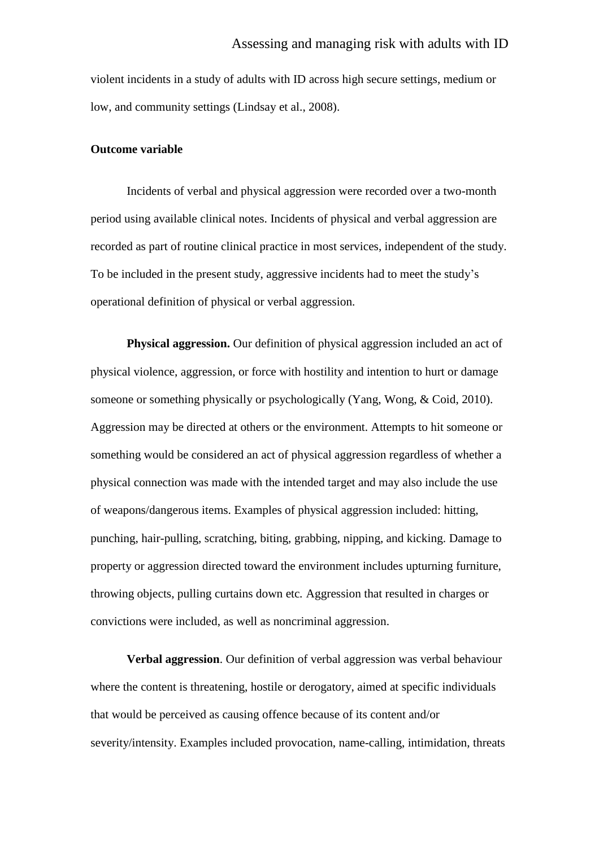violent incidents in a study of adults with ID across high secure settings, medium or low, and community settings (Lindsay et al., 2008).

## **Outcome variable**

Incidents of verbal and physical aggression were recorded over a two-month period using available clinical notes. Incidents of physical and verbal aggression are recorded as part of routine clinical practice in most services, independent of the study. To be included in the present study, aggressive incidents had to meet the study's operational definition of physical or verbal aggression.

**Physical aggression.** Our definition of physical aggression included an act of physical violence, aggression, or force with hostility and intention to hurt or damage someone or something physically or psychologically (Yang, Wong, & Coid, 2010). Aggression may be directed at others or the environment. Attempts to hit someone or something would be considered an act of physical aggression regardless of whether a physical connection was made with the intended target and may also include the use of weapons/dangerous items. Examples of physical aggression included: hitting, punching, hair-pulling, scratching, biting, grabbing, nipping, and kicking. Damage to property or aggression directed toward the environment includes upturning furniture, throwing objects, pulling curtains down etc*.* Aggression that resulted in charges or convictions were included, as well as noncriminal aggression.

**Verbal aggression**. Our definition of verbal aggression was verbal behaviour where the content is threatening, hostile or derogatory, aimed at specific individuals that would be perceived as causing offence because of its content and/or severity/intensity. Examples included provocation, name-calling, intimidation, threats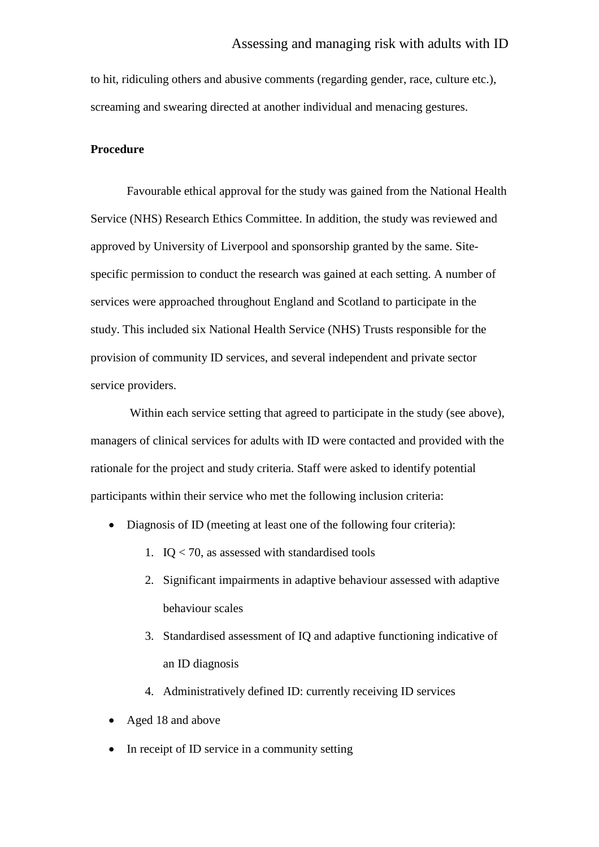to hit, ridiculing others and abusive comments (regarding gender, race, culture etc.), screaming and swearing directed at another individual and menacing gestures.

## **Procedure**

Favourable ethical approval for the study was gained from the National Health Service (NHS) Research Ethics Committee. In addition, the study was reviewed and approved by University of Liverpool and sponsorship granted by the same. Sitespecific permission to conduct the research was gained at each setting. A number of services were approached throughout England and Scotland to participate in the study. This included six National Health Service (NHS) Trusts responsible for the provision of community ID services, and several independent and private sector service providers.

Within each service setting that agreed to participate in the study (see above), managers of clinical services for adults with ID were contacted and provided with the rationale for the project and study criteria. Staff were asked to identify potential participants within their service who met the following inclusion criteria:

- Diagnosis of ID (meeting at least one of the following four criteria):
	- 1.  $IO < 70$ , as assessed with standardised tools
	- 2. Significant impairments in adaptive behaviour assessed with adaptive behaviour scales
	- 3. Standardised assessment of IQ and adaptive functioning indicative of an ID diagnosis
	- 4. Administratively defined ID: currently receiving ID services
- Aged 18 and above
- In receipt of ID service in a community setting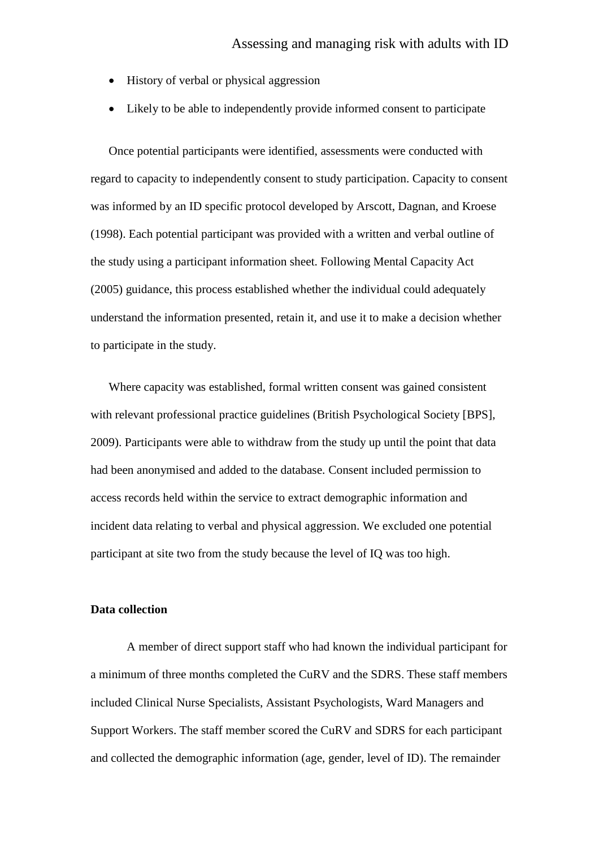- History of verbal or physical aggression
- Likely to be able to independently provide informed consent to participate

Once potential participants were identified, assessments were conducted with regard to capacity to independently consent to study participation. Capacity to consent was informed by an ID specific protocol developed by Arscott, Dagnan, and Kroese (1998). Each potential participant was provided with a written and verbal outline of the study using a participant information sheet. Following Mental Capacity Act (2005) guidance, this process established whether the individual could adequately understand the information presented, retain it, and use it to make a decision whether to participate in the study.

Where capacity was established, formal written consent was gained consistent with relevant professional practice guidelines (British Psychological Society [BPS], 2009). Participants were able to withdraw from the study up until the point that data had been anonymised and added to the database. Consent included permission to access records held within the service to extract demographic information and incident data relating to verbal and physical aggression. We excluded one potential participant at site two from the study because the level of IQ was too high.

#### **Data collection**

A member of direct support staff who had known the individual participant for a minimum of three months completed the CuRV and the SDRS. These staff members included Clinical Nurse Specialists, Assistant Psychologists, Ward Managers and Support Workers. The staff member scored the CuRV and SDRS for each participant and collected the demographic information (age, gender, level of ID). The remainder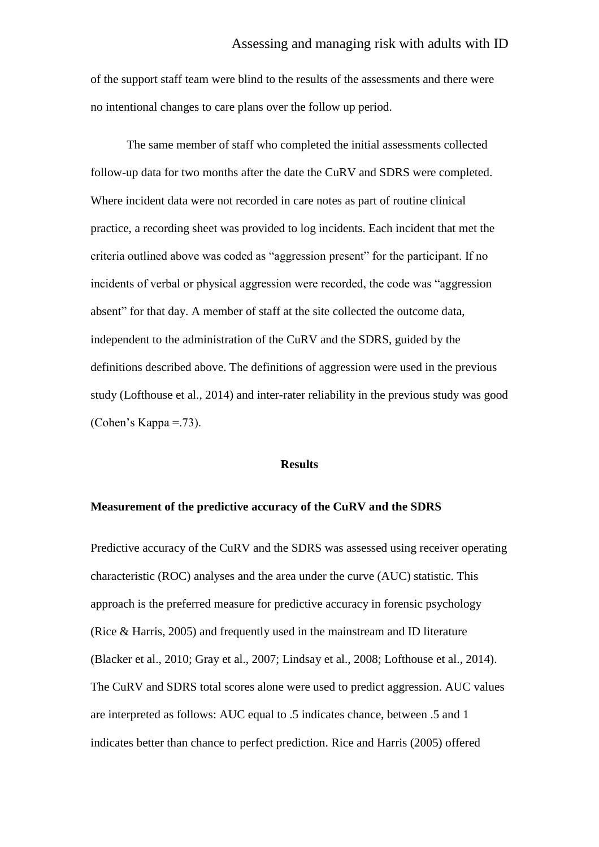of the support staff team were blind to the results of the assessments and there were no intentional changes to care plans over the follow up period.

The same member of staff who completed the initial assessments collected follow-up data for two months after the date the CuRV and SDRS were completed. Where incident data were not recorded in care notes as part of routine clinical practice, a recording sheet was provided to log incidents. Each incident that met the criteria outlined above was coded as "aggression present" for the participant. If no incidents of verbal or physical aggression were recorded, the code was "aggression absent" for that day. A member of staff at the site collected the outcome data, independent to the administration of the CuRV and the SDRS, guided by the definitions described above. The definitions of aggression were used in the previous study (Lofthouse et al., 2014) and inter-rater reliability in the previous study was good (Cohen's Kappa =.73).

#### **Results**

#### **Measurement of the predictive accuracy of the CuRV and the SDRS**

Predictive accuracy of the CuRV and the SDRS was assessed using receiver operating characteristic (ROC) analyses and the area under the curve (AUC) statistic. This approach is the preferred measure for predictive accuracy in forensic psychology (Rice & Harris, 2005) and frequently used in the mainstream and ID literature (Blacker et al., 2010; Gray et al., 2007; Lindsay et al., 2008; Lofthouse et al., 2014). The CuRV and SDRS total scores alone were used to predict aggression. AUC values are interpreted as follows: AUC equal to .5 indicates chance, between .5 and 1 indicates better than chance to perfect prediction. Rice and Harris (2005) offered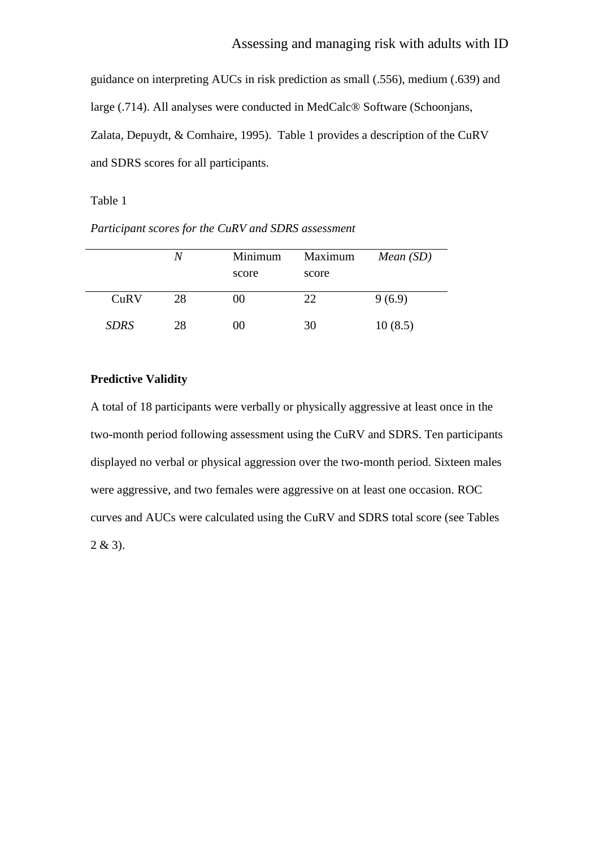guidance on interpreting AUCs in risk prediction as small (.556), medium (.639) and large (.714). All analyses were conducted in MedCalc® Software (Schoonjans, Zalata, Depuydt, & Comhaire, 1995). Table 1 provides a description of the CuRV and SDRS scores for all participants.

Table 1

*Participant scores for the CuRV and SDRS assessment*

|             | N  | Minimum<br>score | Maximum<br>score | Mean(SD) |
|-------------|----|------------------|------------------|----------|
| CuRV        | 28 | 00               | 22               | 9(6.9)   |
| <b>SDRS</b> | 28 | 00               | 30               | 10(8.5)  |

## **Predictive Validity**

A total of 18 participants were verbally or physically aggressive at least once in the two-month period following assessment using the CuRV and SDRS. Ten participants displayed no verbal or physical aggression over the two-month period. Sixteen males were aggressive, and two females were aggressive on at least one occasion. ROC curves and AUCs were calculated using the CuRV and SDRS total score (see Tables  $2 & 3$ ).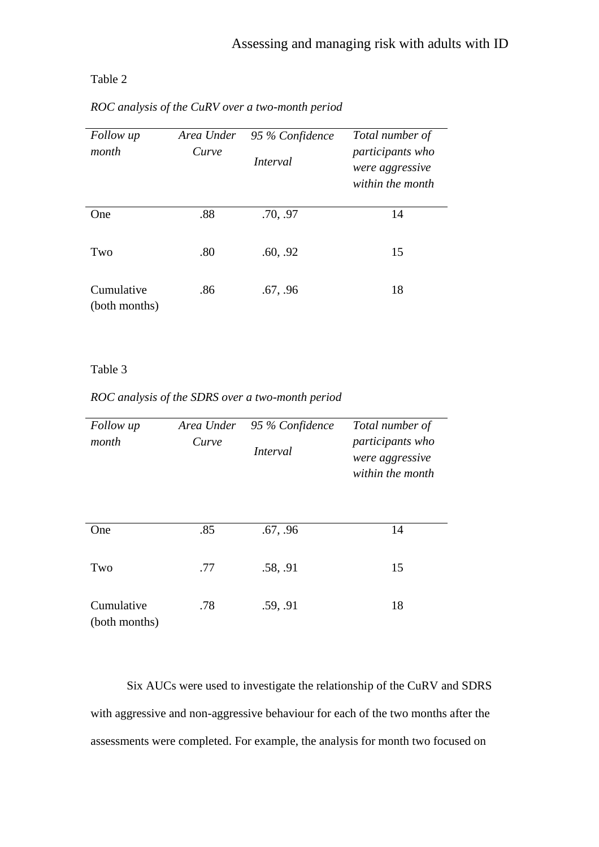# Table 2

| Follow up<br>month          | Area Under<br>Curve | 95 % Confidence<br>Interval | Total number of<br>participants who<br>were aggressive<br>within the month |
|-----------------------------|---------------------|-----------------------------|----------------------------------------------------------------------------|
| One                         | .88                 | .70, .97                    | 14                                                                         |
| Two                         | .80                 | .60, .92                    | 15                                                                         |
| Cumulative<br>(both months) | .86                 | .67, .96                    | 18                                                                         |

*ROC analysis of the CuRV over a two-month period*

## Table 3

# *ROC analysis of the SDRS over a two-month period*

| Follow up<br>month          | Area Under<br>Curve | 95 % Confidence<br>Interval | Total number of<br>participants who<br>were aggressive<br>within the month |
|-----------------------------|---------------------|-----------------------------|----------------------------------------------------------------------------|
| One                         | .85                 | .67, .96                    | 14                                                                         |
| Two                         | .77                 | .58, .91                    | 15                                                                         |
| Cumulative<br>(both months) | .78                 | .59, .91                    | 18                                                                         |

Six AUCs were used to investigate the relationship of the CuRV and SDRS with aggressive and non-aggressive behaviour for each of the two months after the assessments were completed. For example, the analysis for month two focused on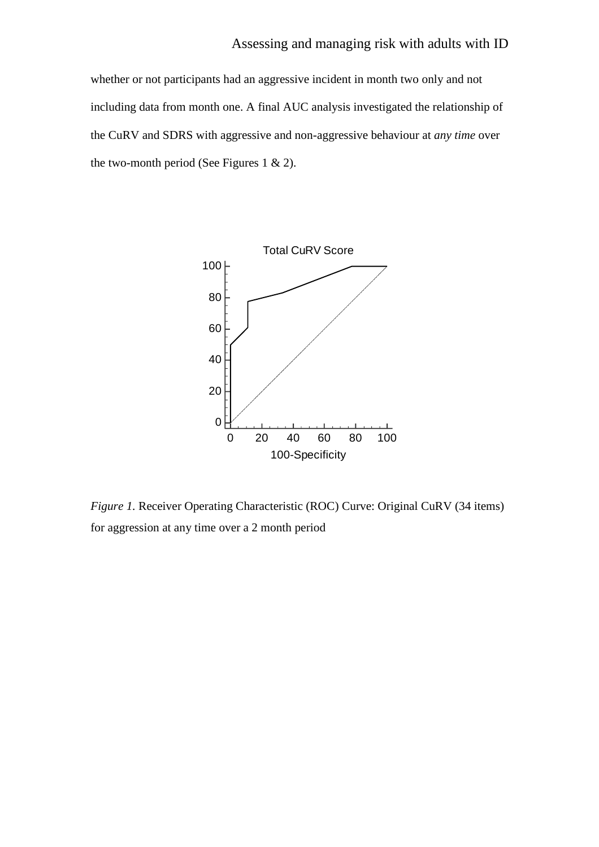whether or not participants had an aggressive incident in month two only and not including data from month one. A final AUC analysis investigated the relationship of the CuRV and SDRS with aggressive and non-aggressive behaviour at *any time* over the two-month period (See Figures 1  $& 2$ ).



*Figure 1.* Receiver Operating Characteristic (ROC) Curve: Original CuRV (34 items) for aggression at any time over a 2 month period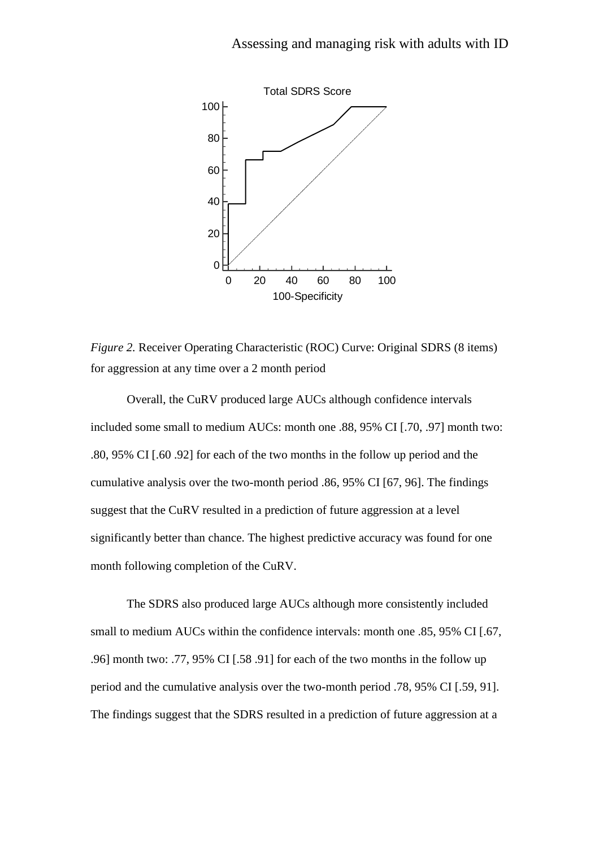

*Figure 2.* Receiver Operating Characteristic (ROC) Curve: Original SDRS (8 items) for aggression at any time over a 2 month period

Overall, the CuRV produced large AUCs although confidence intervals included some small to medium AUCs: month one .88, 95% CI [.70, .97] month two: .80, 95% CI [.60 .92] for each of the two months in the follow up period and the cumulative analysis over the two-month period .86, 95% CI [67, 96]. The findings suggest that the CuRV resulted in a prediction of future aggression at a level significantly better than chance. The highest predictive accuracy was found for one month following completion of the CuRV.

The SDRS also produced large AUCs although more consistently included small to medium AUCs within the confidence intervals: month one .85, 95% CI [.67, .96] month two: .77, 95% CI [.58 .91] for each of the two months in the follow up period and the cumulative analysis over the two-month period .78, 95% CI [.59, 91]. The findings suggest that the SDRS resulted in a prediction of future aggression at a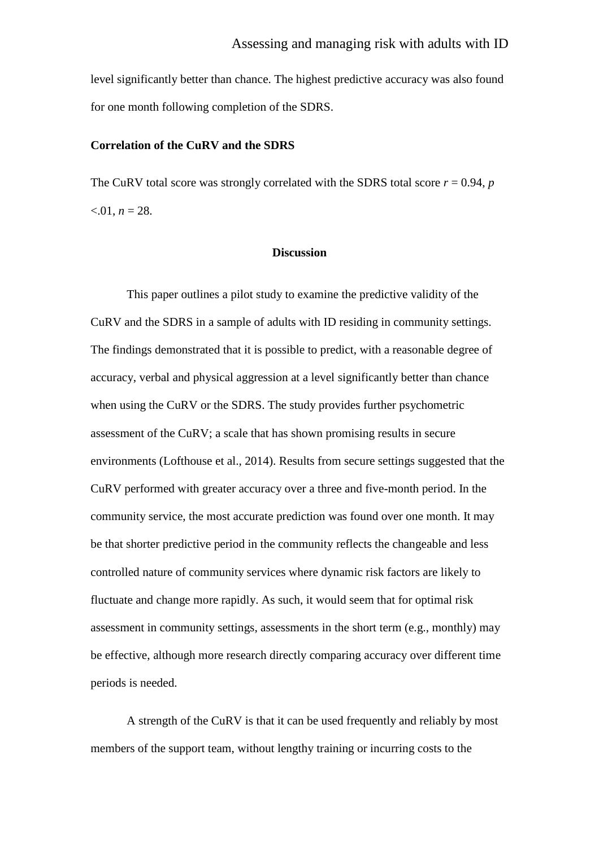level significantly better than chance. The highest predictive accuracy was also found for one month following completion of the SDRS.

## **Correlation of the CuRV and the SDRS**

The CuRV total score was strongly correlated with the SDRS total score  $r = 0.94$ , *p*  $< 0.01, n = 28.$ 

## **Discussion**

This paper outlines a pilot study to examine the predictive validity of the CuRV and the SDRS in a sample of adults with ID residing in community settings. The findings demonstrated that it is possible to predict, with a reasonable degree of accuracy, verbal and physical aggression at a level significantly better than chance when using the CuRV or the SDRS. The study provides further psychometric assessment of the CuRV; a scale that has shown promising results in secure environments (Lofthouse et al., 2014). Results from secure settings suggested that the CuRV performed with greater accuracy over a three and five-month period. In the community service, the most accurate prediction was found over one month. It may be that shorter predictive period in the community reflects the changeable and less controlled nature of community services where dynamic risk factors are likely to fluctuate and change more rapidly. As such, it would seem that for optimal risk assessment in community settings, assessments in the short term (e.g., monthly) may be effective, although more research directly comparing accuracy over different time periods is needed.

A strength of the CuRV is that it can be used frequently and reliably by most members of the support team, without lengthy training or incurring costs to the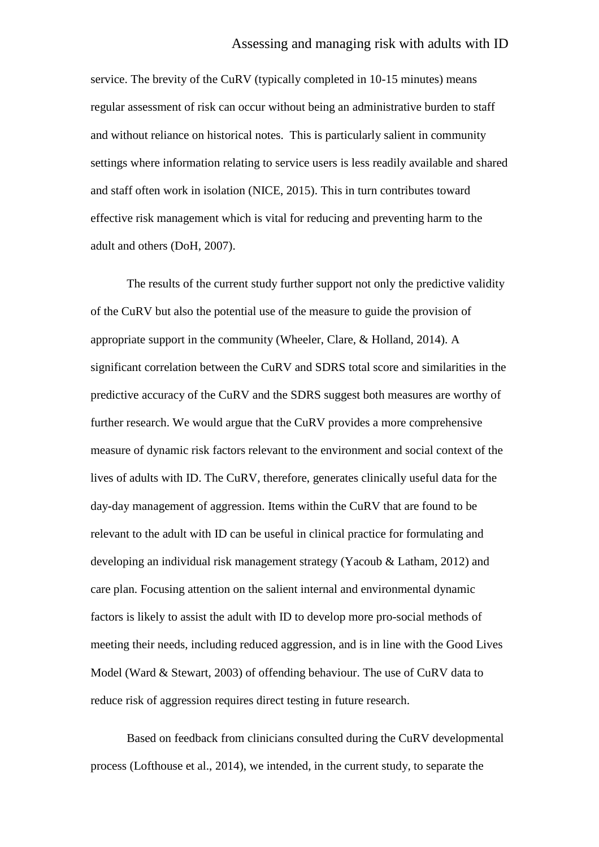## Assessing and managing risk with adults with ID

service. The brevity of the CuRV (typically completed in 10-15 minutes) means regular assessment of risk can occur without being an administrative burden to staff and without reliance on historical notes. This is particularly salient in community settings where information relating to service users is less readily available and shared and staff often work in isolation (NICE, 2015). This in turn contributes toward effective risk management which is vital for reducing and preventing harm to the adult and others (DoH, 2007).

The results of the current study further support not only the predictive validity of the CuRV but also the potential use of the measure to guide the provision of appropriate support in the community (Wheeler, Clare, & Holland, 2014). A significant correlation between the CuRV and SDRS total score and similarities in the predictive accuracy of the CuRV and the SDRS suggest both measures are worthy of further research. We would argue that the CuRV provides a more comprehensive measure of dynamic risk factors relevant to the environment and social context of the lives of adults with ID. The CuRV, therefore, generates clinically useful data for the day-day management of aggression. Items within the CuRV that are found to be relevant to the adult with ID can be useful in clinical practice for formulating and developing an individual risk management strategy (Yacoub & Latham, 2012) and care plan. Focusing attention on the salient internal and environmental dynamic factors is likely to assist the adult with ID to develop more pro-social methods of meeting their needs, including reduced aggression, and is in line with the Good Lives Model (Ward & Stewart, 2003) of offending behaviour. The use of CuRV data to reduce risk of aggression requires direct testing in future research.

Based on feedback from clinicians consulted during the CuRV developmental process (Lofthouse et al., 2014), we intended, in the current study, to separate the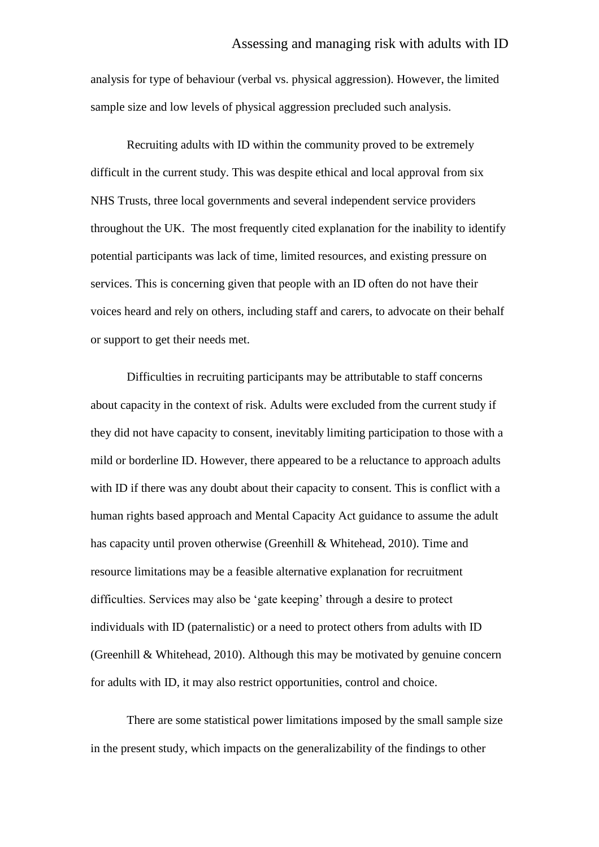analysis for type of behaviour (verbal vs. physical aggression). However, the limited sample size and low levels of physical aggression precluded such analysis.

Recruiting adults with ID within the community proved to be extremely difficult in the current study. This was despite ethical and local approval from six NHS Trusts, three local governments and several independent service providers throughout the UK. The most frequently cited explanation for the inability to identify potential participants was lack of time, limited resources, and existing pressure on services. This is concerning given that people with an ID often do not have their voices heard and rely on others, including staff and carers, to advocate on their behalf or support to get their needs met.

Difficulties in recruiting participants may be attributable to staff concerns about capacity in the context of risk. Adults were excluded from the current study if they did not have capacity to consent, inevitably limiting participation to those with a mild or borderline ID. However, there appeared to be a reluctance to approach adults with ID if there was any doubt about their capacity to consent. This is conflict with a human rights based approach and Mental Capacity Act guidance to assume the adult has capacity until proven otherwise (Greenhill & Whitehead, 2010). Time and resource limitations may be a feasible alternative explanation for recruitment difficulties. Services may also be 'gate keeping' through a desire to protect individuals with ID (paternalistic) or a need to protect others from adults with ID (Greenhill & Whitehead, 2010). Although this may be motivated by genuine concern for adults with ID, it may also restrict opportunities, control and choice.

There are some statistical power limitations imposed by the small sample size in the present study, which impacts on the generalizability of the findings to other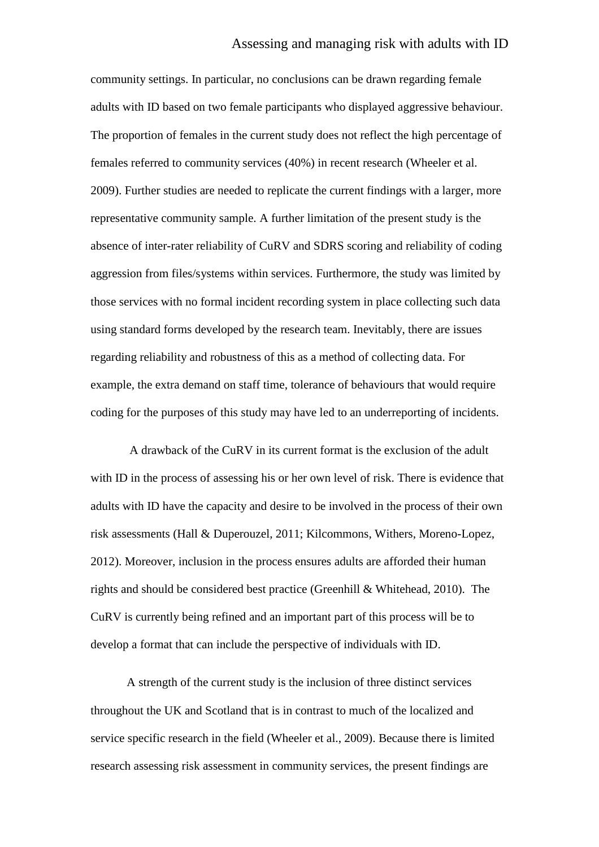community settings. In particular, no conclusions can be drawn regarding female adults with ID based on two female participants who displayed aggressive behaviour. The proportion of females in the current study does not reflect the high percentage of females referred to community services (40%) in recent research (Wheeler et al. 2009). Further studies are needed to replicate the current findings with a larger, more representative community sample. A further limitation of the present study is the absence of inter-rater reliability of CuRV and SDRS scoring and reliability of coding aggression from files/systems within services. Furthermore, the study was limited by those services with no formal incident recording system in place collecting such data using standard forms developed by the research team. Inevitably, there are issues regarding reliability and robustness of this as a method of collecting data. For example, the extra demand on staff time, tolerance of behaviours that would require coding for the purposes of this study may have led to an underreporting of incidents.

A drawback of the CuRV in its current format is the exclusion of the adult with ID in the process of assessing his or her own level of risk. There is evidence that adults with ID have the capacity and desire to be involved in the process of their own risk assessments (Hall & Duperouzel, 2011; Kilcommons, Withers, Moreno-Lopez, 2012). Moreover, inclusion in the process ensures adults are afforded their human rights and should be considered best practice (Greenhill & Whitehead, 2010). The CuRV is currently being refined and an important part of this process will be to develop a format that can include the perspective of individuals with ID.

A strength of the current study is the inclusion of three distinct services throughout the UK and Scotland that is in contrast to much of the localized and service specific research in the field (Wheeler et al., 2009). Because there is limited research assessing risk assessment in community services, the present findings are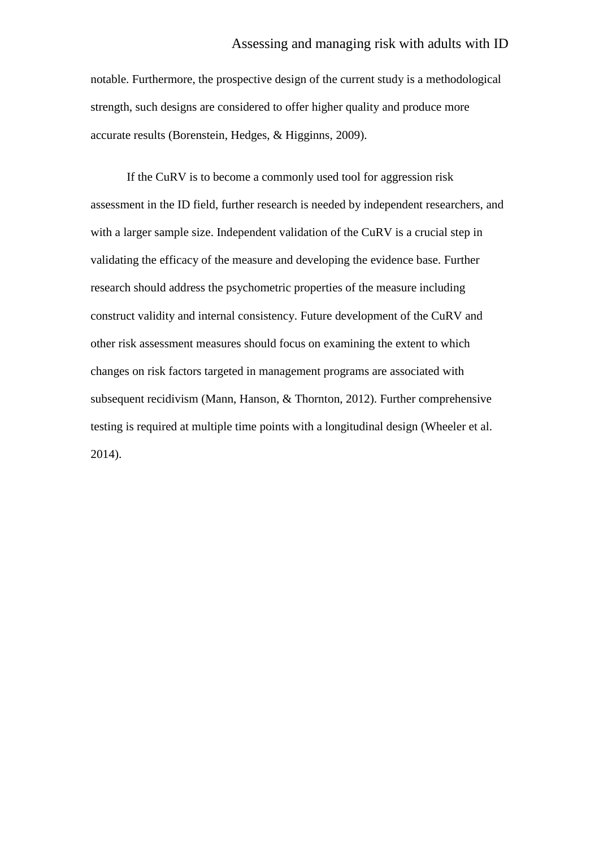## Assessing and managing risk with adults with ID

notable. Furthermore, the prospective design of the current study is a methodological strength, such designs are considered to offer higher quality and produce more accurate results (Borenstein, Hedges, & Higginns, 2009).

If the CuRV is to become a commonly used tool for aggression risk assessment in the ID field, further research is needed by independent researchers, and with a larger sample size. Independent validation of the CuRV is a crucial step in validating the efficacy of the measure and developing the evidence base. Further research should address the psychometric properties of the measure including construct validity and internal consistency. Future development of the CuRV and other risk assessment measures should focus on examining the extent to which changes on risk factors targeted in management programs are associated with subsequent recidivism (Mann, Hanson, & Thornton, 2012). Further comprehensive testing is required at multiple time points with a longitudinal design (Wheeler et al. 2014).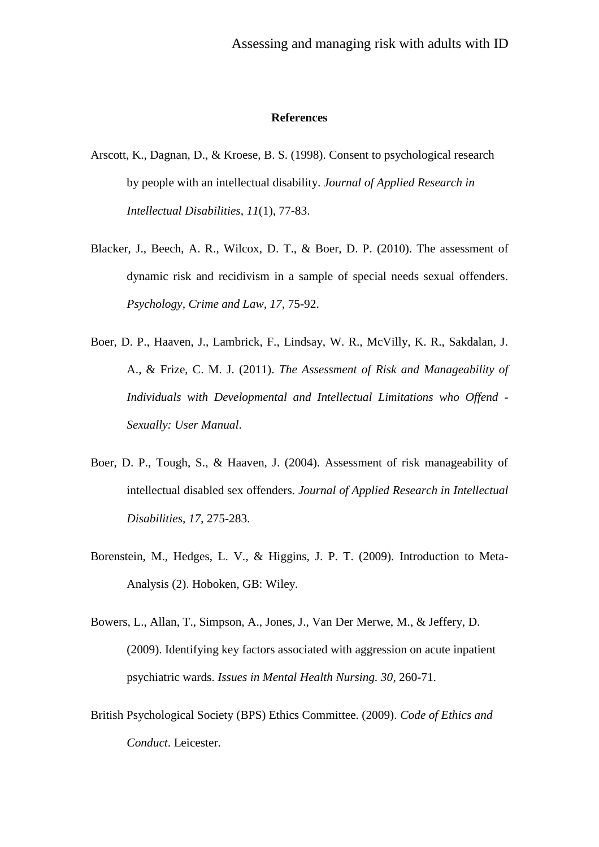#### **References**

- Arscott, K., Dagnan, D., & Kroese, B. S. (1998). Consent to psychological research by people with an intellectual disability. *Journal of Applied Research in Intellectual Disabilities*, *11*(1), 77-83.
- Blacker, J., Beech, A. R., Wilcox, D. T., & Boer, D. P. (2010). The assessment of dynamic risk and recidivism in a sample of special needs sexual offenders. *Psychology, Crime and Law, 17*, 75-92.
- Boer, D. P., Haaven, J., Lambrick, F., Lindsay, W. R., McVilly, K. R., Sakdalan, J. A., & Frize, C. M. J. (2011). *The Assessment of Risk and Manageability of Individuals with Developmental and Intellectual Limitations who Offend - Sexually: User Manual*.
- Boer, D. P., Tough, S., & Haaven, J. (2004). Assessment of risk manageability of intellectual disabled sex offenders. *Journal of Applied Research in Intellectual Disabilities, 17,* 275-283.
- Borenstein, M., Hedges, L. V., & Higgins, J. P. T. (2009). Introduction to Meta-Analysis (2). Hoboken, GB: Wiley.
- Bowers, L., Allan, T., Simpson, A., Jones, J., Van Der Merwe, M., & Jeffery, D. (2009). Identifying key factors associated with aggression on acute inpatient psychiatric wards. *Issues in Mental Health Nursing. 30*, 260-71.
- British Psychological Society (BPS) Ethics Committee. (2009). *Code of Ethics and Conduct*. Leicester.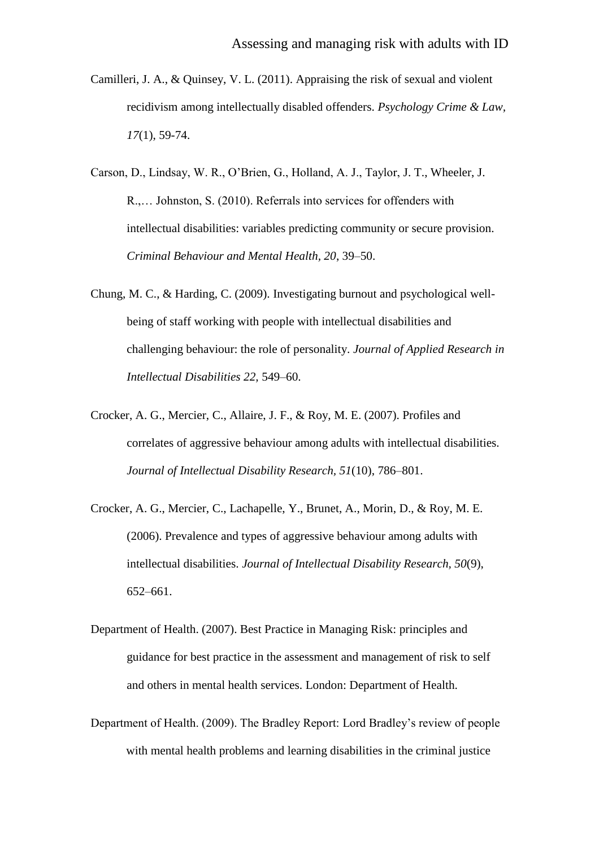- Camilleri, J. A., & Quinsey, V. L. (2011). Appraising the risk of sexual and violent recidivism among intellectually disabled offenders. *Psychology Crime & Law, 17*(1), 59-74.
- Carson, D., Lindsay, W. R., O'Brien, G., Holland, A. J., Taylor, J. T., Wheeler, J. R.,… Johnston, S. (2010). Referrals into services for offenders with intellectual disabilities: variables predicting community or secure provision. *Criminal Behaviour and Mental Health, 20*, 39–50.
- Chung, M. C., & Harding, C. (2009). Investigating burnout and psychological wellbeing of staff working with people with intellectual disabilities and challenging behaviour: the role of personality. *Journal of Applied Research in Intellectual Disabilities 22,* 549–60.
- Crocker, A. G., Mercier, C., Allaire, J. F., & Roy, M. E. (2007). Profiles and correlates of aggressive behaviour among adults with intellectual disabilities. *Journal of Intellectual Disability Research, 51*(10), 786–801.
- Crocker, A. G., Mercier, C., Lachapelle, Y., Brunet, A., Morin, D., & Roy, M. E. (2006). Prevalence and types of aggressive behaviour among adults with intellectual disabilities. *Journal of Intellectual Disability Research, 50*(9), 652–661.
- Department of Health. (2007). Best Practice in Managing Risk: principles and guidance for best practice in the assessment and management of risk to self and others in mental health services. London: Department of Health.
- Department of Health. (2009). The Bradley Report: Lord Bradley's review of people with mental health problems and learning disabilities in the criminal justice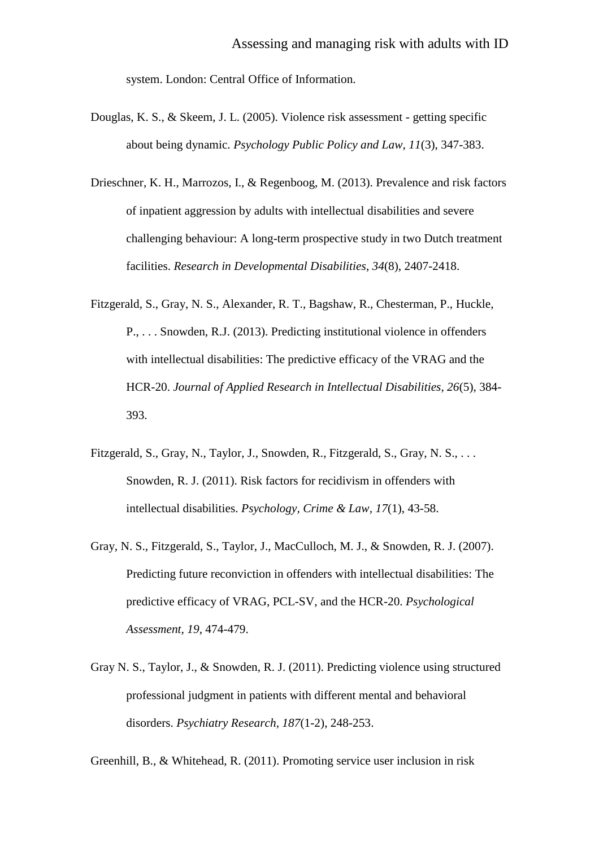system. London: Central Office of Information.

- Douglas, K. S., & Skeem, J. L. (2005). Violence risk assessment getting specific about being dynamic. *Psychology Public Policy and Law, 11*(3), 347-383.
- Drieschner, K. H., Marrozos, I., & Regenboog, M. (2013). Prevalence and risk factors of inpatient aggression by adults with intellectual disabilities and severe challenging behaviour: A long-term prospective study in two Dutch treatment facilities. *Research in Developmental Disabilities*, *34*(8), 2407-2418.
- Fitzgerald, S., Gray, N. S., Alexander, R. T., Bagshaw, R., Chesterman, P., Huckle, P., . . . Snowden, R.J. (2013). Predicting institutional violence in offenders with intellectual disabilities: The predictive efficacy of the VRAG and the HCR-20. *Journal of Applied Research in Intellectual Disabilities, 26*(5), 384- 393.
- Fitzgerald, S., Gray, N., Taylor, J., Snowden, R., Fitzgerald, S., Gray, N. S., . . . Snowden, R. J. (2011). Risk factors for recidivism in offenders with intellectual disabilities. *Psychology, Crime & Law, 17*(1), 43-58.
- Gray, N. S., Fitzgerald, S., Taylor, J., MacCulloch, M. J., & Snowden, R. J. (2007). Predicting future reconviction in offenders with intellectual disabilities: The predictive efficacy of VRAG, PCL-SV, and the HCR-20. *Psychological Assessment, 19*, 474-479.
- Gray N. S., Taylor, J., & Snowden, R. J. (2011). Predicting violence using structured professional judgment in patients with different mental and behavioral disorders. *Psychiatry Research, 187*(1-2), 248-253.

Greenhill, B., & Whitehead, R. (2011). Promoting service user inclusion in risk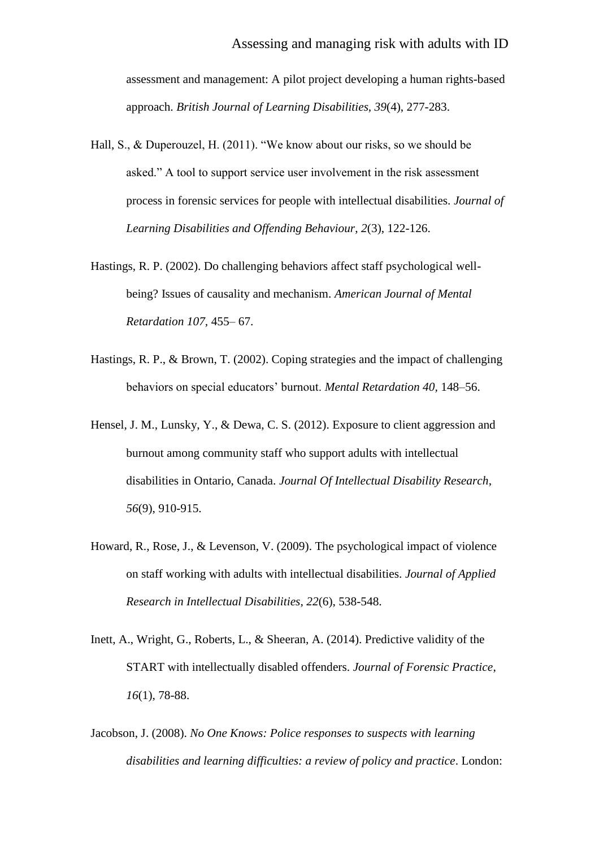assessment and management: A pilot project developing a human rights-based approach. *British Journal of Learning Disabilities, 39*(4), 277-283.

- Hall, S., & Duperouzel, H. (2011). "We know about our risks, so we should be asked." A tool to support service user involvement in the risk assessment process in forensic services for people with intellectual disabilities. *Journal of Learning Disabilities and Offending Behaviour*, *2*(3), 122-126.
- Hastings, R. P. (2002). Do challenging behaviors affect staff psychological wellbeing? Issues of causality and mechanism. *American Journal of Mental Retardation 107,* 455– 67.
- Hastings, R. P., & Brown, T. (2002). Coping strategies and the impact of challenging behaviors on special educators' burnout. *Mental Retardation 40,* 148–56.
- Hensel, J. M., Lunsky, Y., & Dewa, C. S. (2012). Exposure to client aggression and burnout among community staff who support adults with intellectual disabilities in Ontario, Canada. *Journal Of Intellectual Disability Research*, *56*(9), 910-915.
- Howard, R., Rose, J., & Levenson, V. (2009). The psychological impact of violence on staff working with adults with intellectual disabilities. *Journal of Applied Research in Intellectual Disabilities*, *22*(6), 538-548.
- Inett, A., Wright, G., Roberts, L., & Sheeran, A. (2014). Predictive validity of the START with intellectually disabled offenders. *Journal of Forensic Practice*, *16*(1), 78-88.
- Jacobson, J. (2008). *No One Knows: Police responses to suspects with learning disabilities and learning difficulties: a review of policy and practice*. London: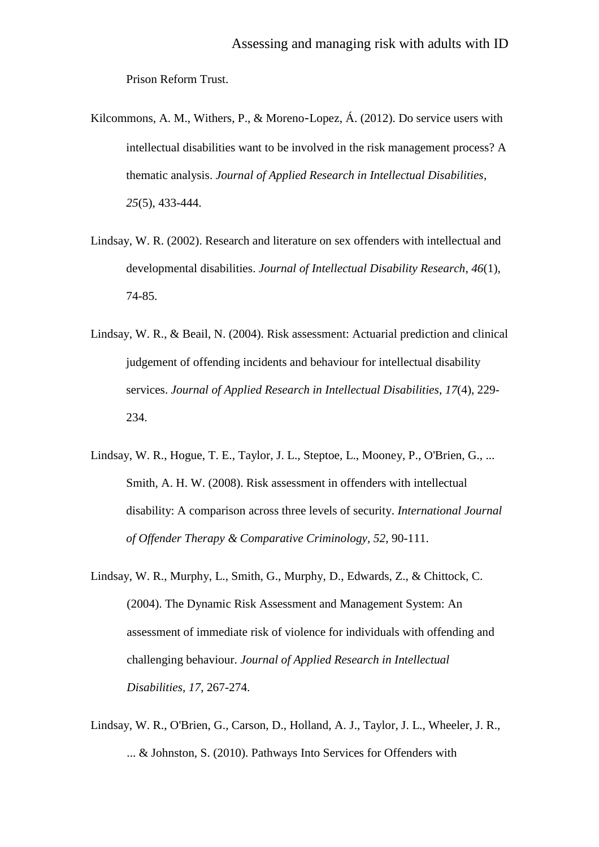Prison Reform Trust.

- Kilcommons, A. M., Withers, P., & Moreno-Lopez, Á. (2012). Do service users with intellectual disabilities want to be involved in the risk management process? A thematic analysis. *Journal of Applied Research in Intellectual Disabilities*, *25*(5), 433-444.
- Lindsay, W. R. (2002). Research and literature on sex offenders with intellectual and developmental disabilities. *Journal of Intellectual Disability Research*, *46*(1), 74-85.
- Lindsay, W. R., & Beail, N. (2004). Risk assessment: Actuarial prediction and clinical judgement of offending incidents and behaviour for intellectual disability services. *Journal of Applied Research in Intellectual Disabilities*, *17*(4), 229- 234.
- Lindsay, W. R., Hogue, T. E., Taylor, J. L., Steptoe, L., Mooney, P., O'Brien, G., ... Smith, A. H. W. (2008). Risk assessment in offenders with intellectual disability: A comparison across three levels of security. *International Journal of Offender Therapy & Comparative Criminology, 52*, 90-111.
- Lindsay, W. R., Murphy, L., Smith, G., Murphy, D., Edwards, Z., & Chittock, C. (2004). The Dynamic Risk Assessment and Management System: An assessment of immediate risk of violence for individuals with offending and challenging behaviour. *Journal of Applied Research in Intellectual Disabilities, 17*, 267-274.
- Lindsay, W. R., O'Brien, G., Carson, D., Holland, A. J., Taylor, J. L., Wheeler, J. R., ... & Johnston, S. (2010). Pathways Into Services for Offenders with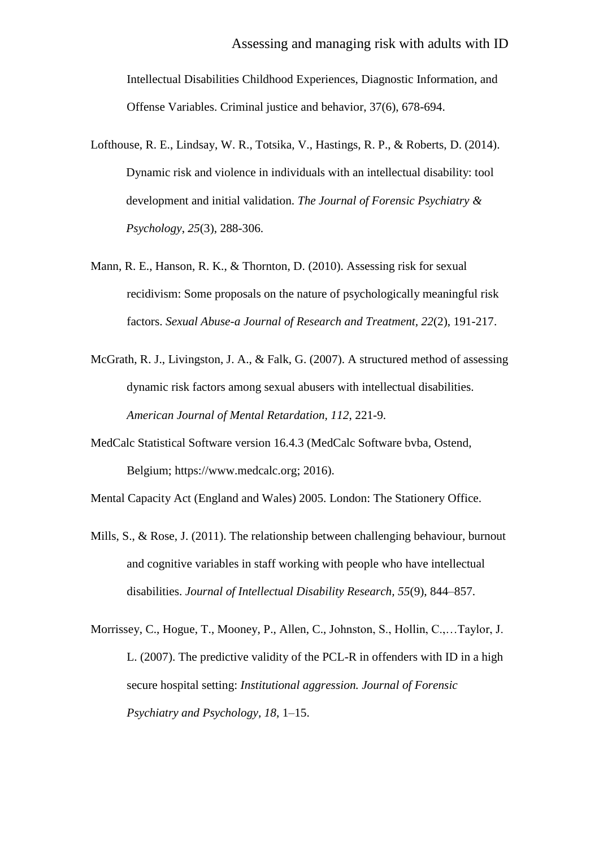Intellectual Disabilities Childhood Experiences, Diagnostic Information, and Offense Variables. Criminal justice and behavior, 37(6), 678-694.

- Lofthouse, R. E., Lindsay, W. R., Totsika, V., Hastings, R. P., & Roberts, D. (2014). Dynamic risk and violence in individuals with an intellectual disability: tool development and initial validation. *The Journal of Forensic Psychiatry & Psychology*, *25*(3), 288-306.
- Mann, R. E., Hanson, R. K., & Thornton, D. (2010). Assessing risk for sexual recidivism: Some proposals on the nature of psychologically meaningful risk factors. *Sexual Abuse-a Journal of Research and Treatment, 22*(2), 191-217.
- McGrath, R. J., Livingston, J. A., & Falk, G. (2007). A structured method of assessing dynamic risk factors among sexual abusers with intellectual disabilities. *American Journal of Mental Retardation, 112*, 221-9.
- MedCalc Statistical Software version 16.4.3 (MedCalc Software bvba, Ostend, Belgium; [https://www.medcalc.org;](https://owa.liv.ac.uk/owa/redir.aspx?REF=hGnQd_lJmgfJG7dnobFPWbEhHsgSF_SzlamiCSii4JBPf1xgMorTCAFodHRwczovL3d3dy5tZWRjYWxjLm9yZw..) 2016).

Mental Capacity Act (England and Wales) 2005. London: The Stationery Office.

- Mills, S., & Rose, J. (2011). The relationship between challenging behaviour, burnout and cognitive variables in staff working with people who have intellectual disabilities. *Journal of Intellectual Disability Research, 55*(9), 844–857.
- Morrissey, C., Hogue, T., Mooney, P., Allen, C., Johnston, S., Hollin, C.,…Taylor, J. L. (2007). The predictive validity of the PCL-R in offenders with ID in a high secure hospital setting: *Institutional aggression. Journal of Forensic Psychiatry and Psychology, 18*, 1–15.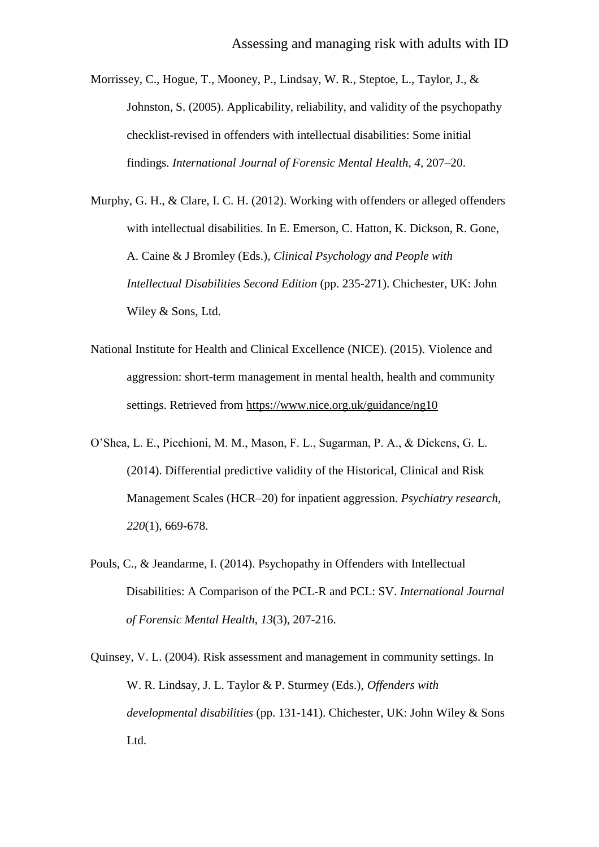Morrissey, C., Hogue, T., Mooney, P., Lindsay, W. R., Steptoe, L., Taylor, J., & Johnston, S. (2005). Applicability, reliability, and validity of the psychopathy checklist-revised in offenders with intellectual disabilities: Some initial findings. *International Journal of Forensic Mental Health, 4,* 207–20.

Murphy, G. H., & Clare, I. C. H. (2012). Working with offenders or alleged offenders with intellectual disabilities. In E. Emerson, C. Hatton, K. Dickson, R. Gone, A. Caine & J Bromley (Eds.), *Clinical Psychology and People with Intellectual Disabilities Second Edition* (pp. 235-271). Chichester, UK: John Wiley & Sons, Ltd.

- National Institute for Health and Clinical Excellence (NICE). (2015). Violence and aggression: short-term management in mental health, health and community settings. Retrieved from<https://www.nice.org.uk/guidance/ng10>
- O'Shea, L. E., Picchioni, M. M., Mason, F. L., Sugarman, P. A., & Dickens, G. L. (2014). Differential predictive validity of the Historical, Clinical and Risk Management Scales (HCR–20) for inpatient aggression. *Psychiatry research*, *220*(1), 669-678.
- Pouls, C., & Jeandarme, I. (2014). Psychopathy in Offenders with Intellectual Disabilities: A Comparison of the PCL-R and PCL: SV. *International Journal of Forensic Mental Health*, *13*(3), 207-216.

Quinsey, V. L. (2004). Risk assessment and management in community settings. In W. R. Lindsay, J. L. Taylor & P. Sturmey (Eds.), *Offenders with developmental disabilities* (pp. 131-141). Chichester, UK: John Wiley & Sons Ltd.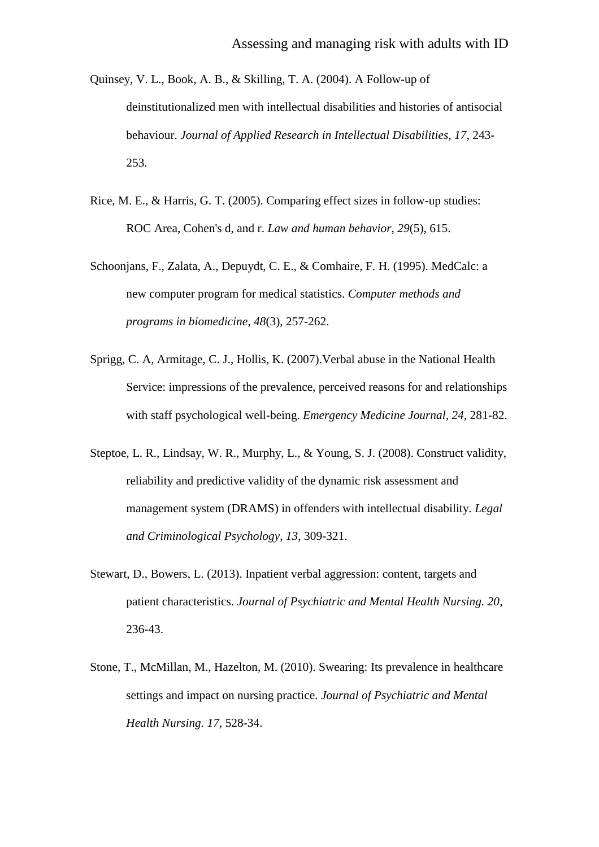- Quinsey, V. L., Book, A. B., & Skilling, T. A. (2004). A Follow-up of deinstitutionalized men with intellectual disabilities and histories of antisocial behaviour. *Journal of Applied Research in Intellectual Disabilities, 17*, 243- 253.
- Rice, M. E., & Harris, G. T. (2005). Comparing effect sizes in follow-up studies: ROC Area, Cohen's d, and r. *Law and human behavior*, *29*(5), 615.
- Schoonjans, F., Zalata, A., Depuydt, C. E., & Comhaire, F. H. (1995). MedCalc: a new computer program for medical statistics. *Computer methods and programs in biomedicine*, *48*(3), 257-262.
- Sprigg, C. A, Armitage, C. J., Hollis, K. (2007).Verbal abuse in the National Health Service: impressions of the prevalence, perceived reasons for and relationships with staff psychological well-being. *Emergency Medicine Journal, 24,* 281-82.
- Steptoe, L. R., Lindsay, W. R., Murphy, L., & Young, S. J. (2008). Construct validity, reliability and predictive validity of the dynamic risk assessment and management system (DRAMS) in offenders with intellectual disability. *Legal and Criminological Psychology, 13*, 309-321.
- Stewart, D., Bowers, L. (2013). Inpatient verbal aggression: content, targets and patient characteristics. *Journal of Psychiatric and Mental Health Nursing. 20*, 236-43.
- Stone, T., McMillan, M., Hazelton, M. (2010). Swearing: Its prevalence in healthcare settings and impact on nursing practice. *Journal of Psychiatric and Mental Health Nursing. 17,* 528-34.